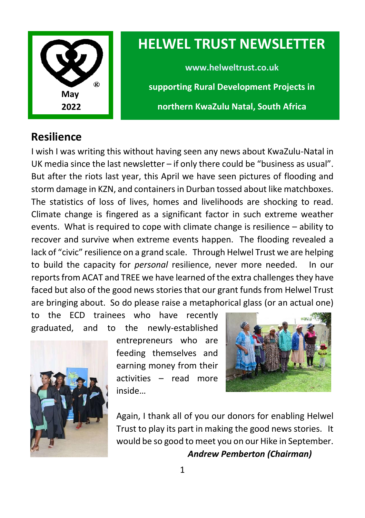

# **HELWEL TRUST NEWSLETTER**

**www.helweltrust.co.uk supporting Rural Development Projects in northern KwaZulu Natal, South Africa**

#### **Resilience**

I wish I was writing this without having seen any news about KwaZulu-Natal in UK media since the last newsletter – if only there could be "business as usual". But after the riots last year, this April we have seen pictures of flooding and storm damage in KZN, and containers in Durban tossed about like matchboxes. The statistics of loss of lives, homes and livelihoods are shocking to read. Climate change is fingered as a significant factor in such extreme weather events. What is required to cope with climate change is resilience – ability to recover and survive when extreme events happen. The flooding revealed a lack of "civic" resilience on a grand scale. Through Helwel Trust we are helping to build the capacity for *personal* resilience, never more needed. In our reports from ACAT and TREE we have learned of the extra challenges they have faced but also of the good news stories that our grant funds from Helwel Trust are bringing about. So do please raise a metaphorical glass (or an actual one)

to the ECD trainees who have recently graduated, and to the newly-established



entrepreneurs who are feeding themselves and earning money from their activities – read more inside…



Again, I thank all of you our donors for enabling Helwel Trust to play its part in making the good news stories. It would be so good to meet you on our Hike in September. *Andrew Pemberton (Chairman)*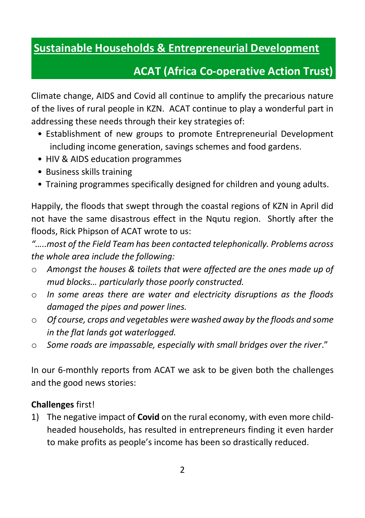### **Sustainable Households & Entrepreneurial Development**

## **ACAT (Africa Co-operative Action Trust)**

Climate change, AIDS and Covid all continue to amplify the precarious nature of the lives of rural people in KZN. ACAT continue to play a wonderful part in addressing these needs through their key strategies of:

- Establishment of new groups to promote Entrepreneurial Development including income generation, savings schemes and food gardens.
- HIV & AIDS education programmes
- Business skills training
- Training programmes specifically designed for children and young adults.

Happily, the floods that swept through the coastal regions of KZN in April did not have the same disastrous effect in the Nqutu region. Shortly after the floods, Rick Phipson of ACAT wrote to us:

*"…..most of the Field Team has been contacted telephonically. Problems across the whole area include the following:*

- o *Amongst the houses & toilets that were affected are the ones made up of mud blocks… particularly those poorly constructed.*
- o *In some areas there are water and electricity disruptions as the floods damaged the pipes and power lines.*
- o *Of course, crops and vegetables were washed away by the floods and some in the flat lands got waterlogged.*
- o *Some roads are impassable, especially with small bridges over the river*."

In our 6-monthly reports from ACAT we ask to be given both the challenges and the good news stories:

#### **Challenges** first!

1) The negative impact of **Covid** on the rural economy, with even more childheaded households, has resulted in entrepreneurs finding it even harder to make profits as people's income has been so drastically reduced.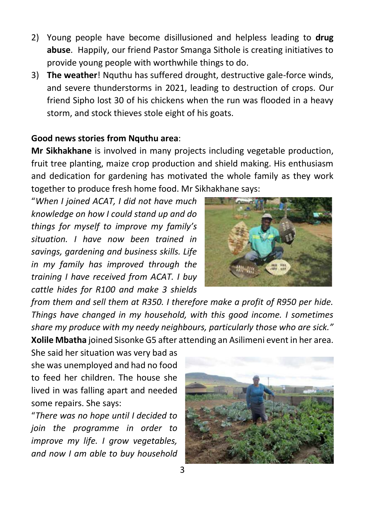- 2) Young people have become disillusioned and helpless leading to **drug abuse**. Happily, our friend Pastor Smanga Sithole is creating initiatives to provide young people with worthwhile things to do.
- 3) **The weather**! Nquthu has suffered drought, destructive gale-force winds, and severe thunderstorms in 2021, leading to destruction of crops. Our friend Sipho lost 30 of his chickens when the run was flooded in a heavy storm, and stock thieves stole eight of his goats.

#### **Good news stories from Nquthu area**:

**Mr Sikhakhane** is involved in many projects including vegetable production, fruit tree planting, maize crop production and shield making. His enthusiasm and dedication for gardening has motivated the whole family as they work together to produce fresh home food. Mr Sikhakhane says:

"*When I joined ACAT, I did not have much knowledge on how I could stand up and do things for myself to improve my family's situation. I have now been trained in savings, gardening and business skills. Life in my family has improved through the training I have received from ACAT. I buy cattle hides for R100 and make 3 shields* 



*from them and sell them at R350. I therefore make a profit of R950 per hide. Things have changed in my household, with this good income. I sometimes share my produce with my needy neighbours, particularly those who are sick."* **Xolile Mbatha** joined Sisonke G5 after attending an Asilimeni event in her area.

She said her situation was very bad as she was unemployed and had no food to feed her children. The house she lived in was falling apart and needed some repairs. She says:

"*There was no hope until I decided to join the programme in order to improve my life. I grow vegetables, and now I am able to buy household* 

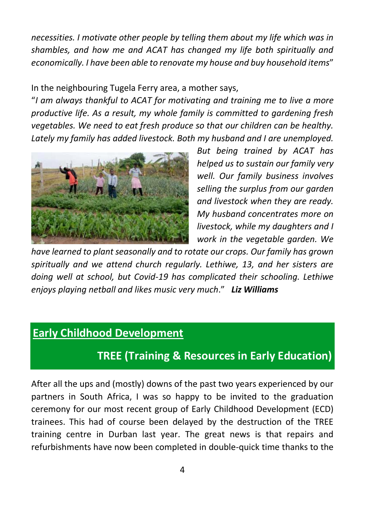*necessities. I motivate other people by telling them about my life which was in shambles, and how me and ACAT has changed my life both spiritually and economically. I have been able to renovate my house and buy household items*"

In the neighbouring Tugela Ferry area, a mother says,

"*I am always thankful to ACAT for motivating and training me to live a more productive life. As a result, my whole family is committed to gardening fresh vegetables. We need to eat fresh produce so that our children can be healthy. Lately my family has added livestock. Both my husband and I are unemployed.* 



*But being trained by ACAT has helped us to sustain our family very well. Our family business involves selling the surplus from our garden and livestock when they are ready. My husband concentrates more on livestock, while my daughters and I work in the vegetable garden. We* 

*have learned to plant seasonally and to rotate our crops. Our family has grown spiritually and we attend church regularly. Lethiwe, 13, and her sisters are doing well at school, but Covid-19 has complicated their schooling. Lethiwe enjoys playing netball and likes music very much*." *Liz Williams*

#### **Early Childhood Development**

### **TREE (Training & Resources in Early Education)**

After all the ups and (mostly) downs of the past two years experienced by our partners in South Africa, I was so happy to be invited to the graduation ceremony for our most recent group of Early Childhood Development (ECD) trainees. This had of course been delayed by the destruction of the TREE training centre in Durban last year. The great news is that repairs and refurbishments have now been completed in double-quick time thanks to the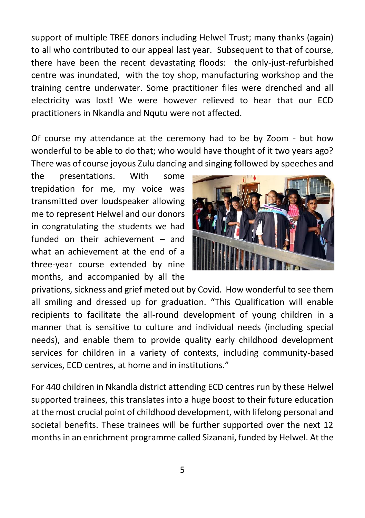support of multiple TREE donors including Helwel Trust; many thanks (again) to all who contributed to our appeal last year. Subsequent to that of course, there have been the recent devastating floods: the only-just-refurbished centre was inundated, with the toy shop, manufacturing workshop and the training centre underwater. Some practitioner files were drenched and all electricity was lost! We were however relieved to hear that our ECD practitioners in Nkandla and Nqutu were not affected.

Of course my attendance at the ceremony had to be by Zoom - but how wonderful to be able to do that; who would have thought of it two years ago? There was of course joyous Zulu dancing and singing followed by speeches and

the presentations. With some trepidation for me, my voice was transmitted over loudspeaker allowing me to represent Helwel and our donors in congratulating the students we had funded on their achievement – and what an achievement at the end of a three-year course extended by nine months, and accompanied by all the



privations, sickness and grief meted out by Covid. How wonderful to see them all smiling and dressed up for graduation. "This Qualification will enable recipients to facilitate the all-round development of young children in a manner that is sensitive to culture and individual needs (including special needs), and enable them to provide quality early childhood development services for children in a variety of contexts, including community-based services, ECD centres, at home and in institutions."

For 440 children in Nkandla district attending ECD centres run by these Helwel supported trainees, this translates into a huge boost to their future education at the most crucial point of childhood development, with lifelong personal and societal benefits. These trainees will be further supported over the next 12 months in an enrichment programme called Sizanani, funded by Helwel. At the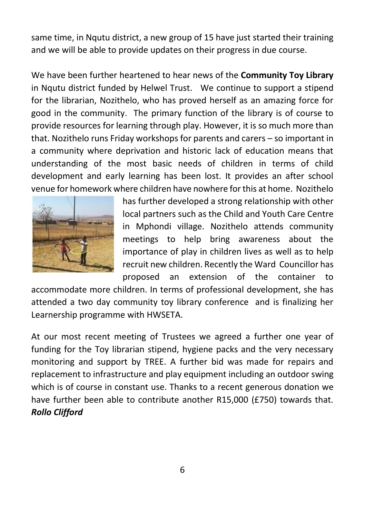same time, in Nqutu district, a new group of 15 have just started their training and we will be able to provide updates on their progress in due course.

We have been further heartened to hear news of the **Community Toy Library** in Nqutu district funded by Helwel Trust. We continue to support a stipend for the librarian, Nozithelo, who has proved herself as an amazing force for good in the community. The primary function of the library is of course to provide resources for learning through play. However, it is so much more than that. Nozithelo runs Friday workshops for parents and carers – so important in a community where deprivation and historic lack of education means that understanding of the most basic needs of children in terms of child development and early learning has been lost. It provides an after school venue for homework where children have nowhere for this at home. Nozithelo



has further developed a strong relationship with other local partners such as the Child and Youth Care Centre in Mphondi village. Nozithelo attends community meetings to help bring awareness about the importance of play in children lives as well as to help recruit new children. Recently the Ward Councillor has proposed an extension of the container to

accommodate more children. In terms of professional development, she has attended a two day community toy library conference and is finalizing her Learnership programme with HWSETA.

At our most recent meeting of Trustees we agreed a further one year of funding for the Toy librarian stipend, hygiene packs and the very necessary monitoring and support by TREE. A further bid was made for repairs and replacement to infrastructure and play equipment including an outdoor swing which is of course in constant use. Thanks to a recent generous donation we have further been able to contribute another R15,000 (£750) towards that. *Rollo Clifford*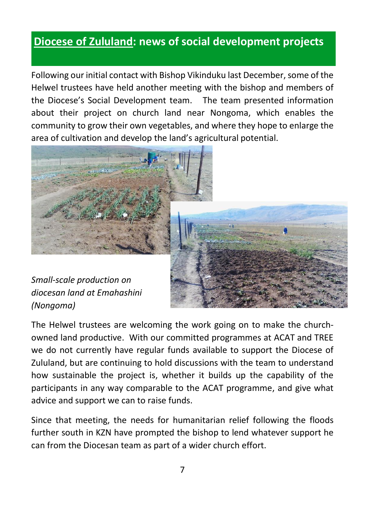#### **Diocese of Zululand: news of social development projects**

Following our initial contact with Bishop Vikinduku last December, some of the Helwel trustees have held another meeting with the bishop and members of the Diocese's Social Development team. The team presented information about their project on church land near Nongoma, which enables the community to grow their own vegetables, and where they hope to enlarge the area of cultivation and develop the land's agricultural potential.



*Small-scale production on diocesan land at Emahashini (Nongoma)*

The Helwel trustees are welcoming the work going on to make the churchowned land productive. With our committed programmes at ACAT and TREE we do not currently have regular funds available to support the Diocese of Zululand, but are continuing to hold discussions with the team to understand how sustainable the project is, whether it builds up the capability of the participants in any way comparable to the ACAT programme, and give what advice and support we can to raise funds.

Since that meeting, the needs for humanitarian relief following the floods further south in KZN have prompted the bishop to lend whatever support he can from the Diocesan team as part of a wider church effort.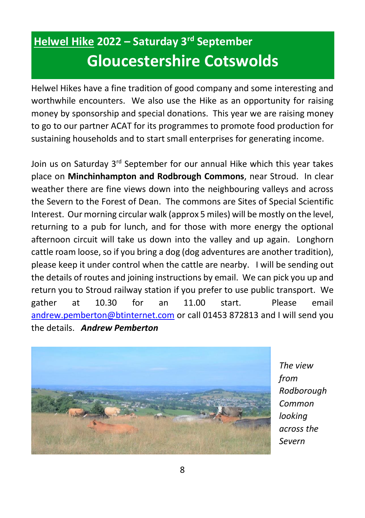# **Helwel Hike 2022 – Saturday 3rd September Gloucestershire Cotswolds**

Helwel Hikes have a fine tradition of good company and some interesting and worthwhile encounters. We also use the Hike as an opportunity for raising money by sponsorship and special donations. This year we are raising money to go to our partner ACAT for its programmes to promote food production for sustaining households and to start small enterprises for generating income.

Join us on Saturday 3<sup>rd</sup> September for our annual Hike which this year takes place on **Minchinhampton and Rodbrough Commons**, near Stroud. In clear weather there are fine views down into the neighbouring valleys and across the Severn to the Forest of Dean. The commons are Sites of Special Scientific Interest. Our morning circular walk (approx 5 miles) will be mostly on the level, returning to a pub for lunch, and for those with more energy the optional afternoon circuit will take us down into the valley and up again. Longhorn cattle roam loose, so if you bring a dog (dog adventures are another tradition), please keep it under control when the cattle are nearby. I will be sending out the details of routes and joining instructions by email. We can pick you up and return you to Stroud railway station if you prefer to use public transport. We gather at 10.30 for an 11.00 start. Please email [andrew.pemberton@btinternet.com](mailto:andrew.pemberton@btinternet.com) or call 01453 872813 and I will send you the details. *Andrew Pemberton*



*The view from Rodborough Common looking across the Severn*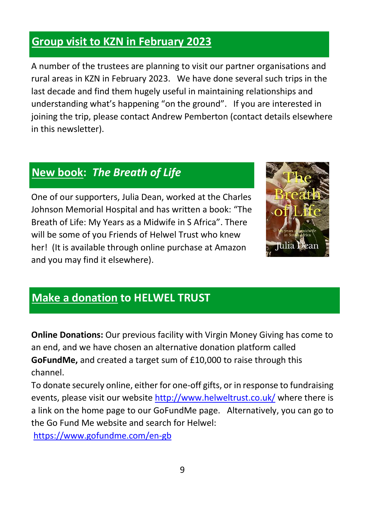#### **Group visit to KZN in February 2023**

A number of the trustees are planning to visit our partner organisations and rural areas in KZN in February 2023. We have done several such trips in the last decade and find them hugely useful in maintaining relationships and understanding what's happening "on the ground". If you are interested in joining the trip, please contact Andrew Pemberton (contact details elsewhere in this newsletter).

## **New book:** *The Breath of Life*

One of our supporters, Julia Dean, worked at the Charles Johnson Memorial Hospital and has written a book: "The Breath of Life: My Years as a Midwife in S Africa". There will be some of you Friends of Helwel Trust who knew her! (It is available through online purchase at Amazon and you may find it elsewhere).



#### **Make a donation to HELWEL TRUST**

**Online Donations:** Our previous facility with Virgin Money Giving has come to an end, and we have chosen an alternative donation platform called **GoFundMe,** and created a target sum of £10,000 to raise through this channel.

To donate securely online, either for one-off gifts, or in response to fundraising events, please visit our website<http://www.helweltrust.co.uk/> where there is a link on the home page to our GoFundMe page. Alternatively, you can go to the Go Fund Me website and search for Helwel:

<https://www.gofundme.com/en-gb>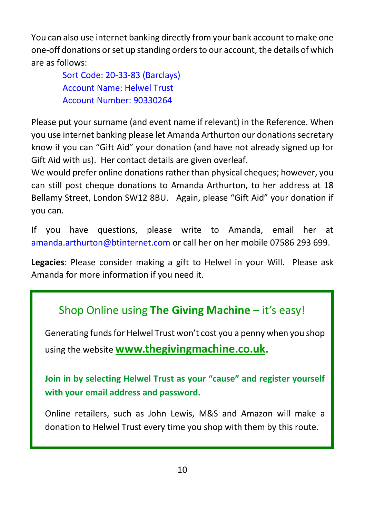You can also use internet banking directly from your bank account to make one one-off donations or set up standing orders to our account, the details of which are as follows:

> Sort Code: 20-33-83 (Barclays) Account Name: Helwel Trust Account Number: 90330264

Please put your surname (and event name if relevant) in the Reference. When you use internet banking please let Amanda Arthurton our donations secretary know if you can "Gift Aid" your donation (and have not already signed up for Gift Aid with us). Her contact details are given overleaf.

We would prefer online donations rather than physical cheques; however, you can still post cheque donations to Amanda Arthurton, to her address at 18 Bellamy Street, London SW12 8BU. Again, please "Gift Aid" your donation if you can.

If you have questions, please write to Amanda, email her at [amanda.arthurton@btinternet.com](mailto:amanda.arthurton@btinternet.com) or call her on her mobile 07586 293 699.

**Legacies**: Please consider making a gift to Helwel in your Will. Please ask Amanda for more information if you need it.

# Shop Online using **The Giving Machine** – it's easy!

Generating funds for Helwel Trust won't cost you a penny when you shop using the website **[www.thegivingmachine.co.uk.](http://www.thegivingmachine.co.uk/)**

**Join in by selecting Helwel Trust as your "cause" and register yourself with your email address and password.** 

Online retailers, such as John Lewis, M&S and Amazon will make a donation to Helwel Trust every time you shop with them by this route.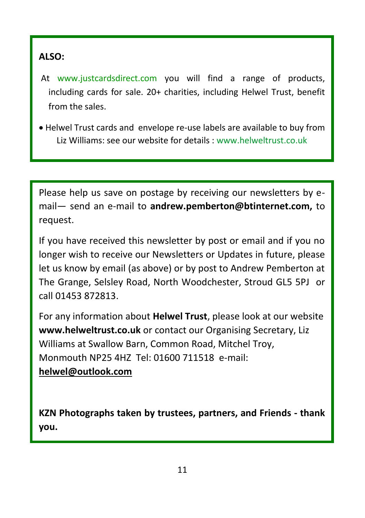#### **ALSO:**

- At www.justcardsdirect.com you will find a range of products, including cards for sale. 20+ charities, including Helwel Trust, benefit from the sales.
- Helwel Trust cards and envelope re-use labels are available to buy from Liz Williams: see our website for details : www.helweltrust.co.uk

Please help us save on postage by receiving our newsletters by email— send an e-mail to **andrew.pemberton@btinternet.com,** to request.

If you have received this newsletter by post or email and if you no longer wish to receive our Newsletters or Updates in future, please let us know by email (as above) or by post to Andrew Pemberton at The Grange, Selsley Road, North Woodchester, Stroud GL5 5PJ or call 01453 872813.

For any information about **Helwel Trust**, please look at our website **www.helweltrust.co.uk** or contact our Organising Secretary, Liz Williams at Swallow Barn, Common Road, Mitchel Troy, Monmouth NP25 4HZ Tel: 01600 711518 e-mail: **[helwel@outlook.com](mailto:helwel@outlook.com)**

**KZN Photographs taken by trustees, partners, and Friends - thank you.**